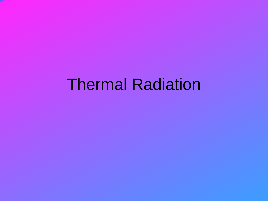### Thermal Radiation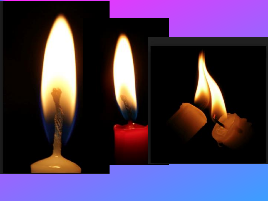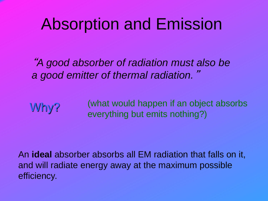### Absorption and Emission

"*A good absorber of radiation must also be a good emitter of thermal radiation.*"

Why? (what would happen if an object absorbs everything but emits nothing?)

An **ideal** absorber absorbs all EM radiation that falls on it, and will radiate energy away at the maximum possible efficiency.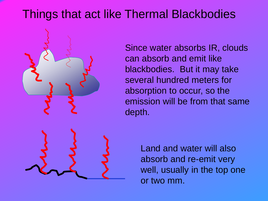#### Things that act like Thermal Blackbodies



Since water absorbs IR, clouds can absorb and emit like blackbodies. But it may take several hundred meters for absorption to occur, so the emission will be from that same depth.



Land and water will also absorb and re-emit very well, usually in the top one or two mm.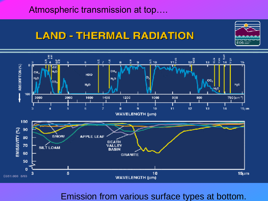#### Atmospheric transmission at top….

#### **LAND - THERMAL RADIATION**



#### Emission from various surface types at bottom.

EOS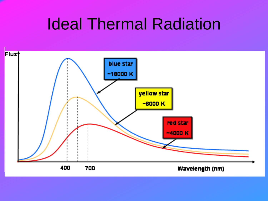### Ideal Thermal Radiation

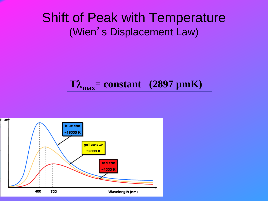#### Shift of Peak with Temperature (Wien's Displacement Law)

#### $T\lambda_{\text{max}}$  = constant (2897 µmK)

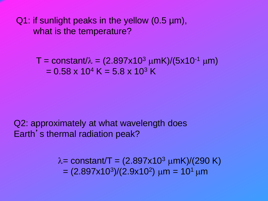Q1: if sunlight peaks in the yellow (0.5 µm), what is the temperature?

> $T = constant/\lambda = (2.897 \times 10^3 \mu mK)/(5 \times 10^{-1} \mu m)$  $= 0.58 \times 10^4$  K = 5.8 x 10<sup>3</sup> K

Q2: approximately at what wavelength does Earth's thermal radiation peak?

> $\lambda =$  constant/T = (2.897x10<sup>3</sup> µmK)/(290 K)  $= (2.897 \times 10^3)/(2.9 \times 10^2) \mu m = 10^1 \mu m$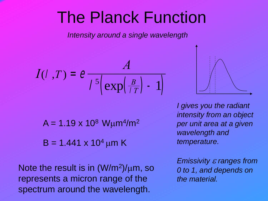# The Planck Function

*Intensity around a single wavelength*

$$
I(1, T) = e \frac{A}{\int_0^5 \left( \exp\left(\frac{B}{IT}\right) - 1 \right)}
$$

$$
A = 1.19 \times 10^8 \, \text{W} \mu \text{m}^4/\text{m}^2
$$

 $B = 1.441 \times 10^4 \mu m K$ 

Note the result is in  $(W/m^2)/\mu m$ , so represents a micron range of the spectrum around the wavelength.



*I gives you the radiant intensity from an object per unit area at a given wavelength and temperature.*

*Emissivity*  $\varepsilon$  *ranges from 0 to 1, and depends on the material.*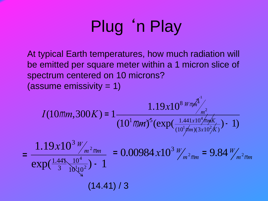# Plug 'n Play

At typical Earth temperatures, how much radiation will be emitted per square meter within a 1 micron slice of spectrum centered on 10 microns?  $(sasume$  emissivity = 1)

$$
I(10mm,300K) = 1 \frac{1.19x10^{8 Wmm^4}}{(10^1mm)^5(\exp(\frac{1.441x10^4mm^4}{(10^1mm)(3x10^2/K)})-1)}
$$

$$
=\frac{1.19x10^{3} W_{m^2 m m}}{\exp(\frac{1.441}{3} \frac{10^4}{10^1 0^2})-1} = 0.00984x10^3 W_{m^2 m m} = 9.84 W_{m^2 m m} \tag{14.41} / 3
$$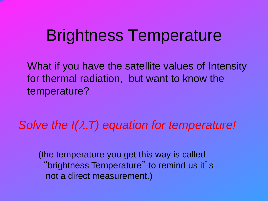# Brightness Temperature

What if you have the satellite values of Intensity for thermal radiation, but want to know the temperature?

*Solve the*  $I(\lambda, T)$  *equation for temperature!* 

(the temperature you get this way is called "brightness Temperature" to remind us it's not a direct measurement.)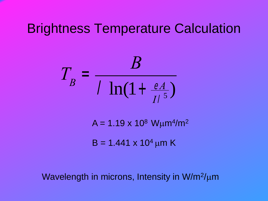#### Brightness Temperature Calculation

$$
T_B = \frac{B}{\sqrt{\ln(1 + \frac{eA}{I^{\prime^5}})}}
$$

 $A = 1.19 \times 10^8 \text{ W} \mu \text{m}^4/\text{m}^2$ 

 $B = 1.441 \times 10^4 \mu m K$ 

Wavelength in microns, Intensity in W/m<sup>2</sup>/µm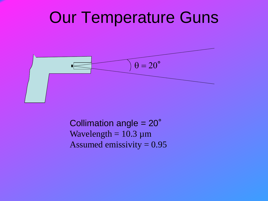### Our Temperature Guns



Collimation angle = 20° Wavelength  $= 10.3 \mu m$ Assumed emissivity  $= 0.95$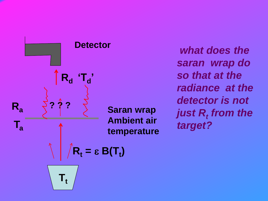

*what does the saran wrap do so that at the radiance at the detector is not just R<sup>t</sup> from the target?*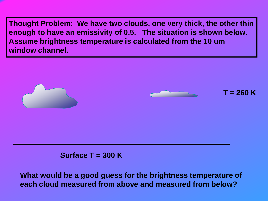**Thought Problem: We have two clouds, one very thick, the other thin enough to have an emissivity of 0.5. The situation is shown below. Assume brightness temperature is calculated from the 10 um window channel.**



**Surface T = 300 K**

**What would be a good guess for the brightness temperature of each cloud measured from above and measured from below?**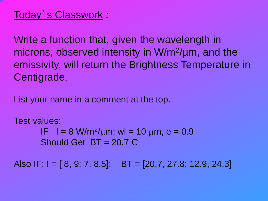#### Today's Classwork *:*

Write a function that, given the wavelength in microns, observed intensity in W/m<sup>2</sup>/µm, and the emissivity, will return the Brightness Temperature in Centigrade.

List your name in a comment at the top.

Test values: IF  $I = 8$  W/m<sup>2</sup>/ $\mu$ m; wl = 10  $\mu$ m, e = 0.9 Should Get BT = 20.7 C

Also IF:  $I = [8, 9, 7, 8.5]$ ; BT = [20.7, 27.8; 12.9, 24.3]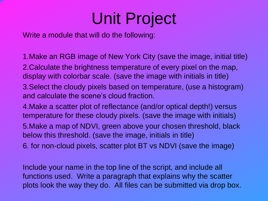# Unit Project

Write a module that will do the following:

1.Make an RGB image of New York City (save the image, initial title) 2.Calculate the brightness temperature of every pixel on the map, display with colorbar scale. (save the image with initials in title)

3.Select the cloudy pixels based on temperature, (use a histogram) and calculate the scene's cloud fraction.

4.Make a scatter plot of reflectance (and/or optical depth!) versus temperature for these cloudy pixels. (save the image with initials) 5.Make a map of NDVI, green above your chosen threshold, black below this threshold. (save the image, initials in title)

6. for non-cloud pixels, scatter plot BT vs NDVI (save the image)

Include your name in the top line of the script, and include all functions used. Write a paragraph that explains why the scatter plots look the way they do. All files can be submitted via drop box.